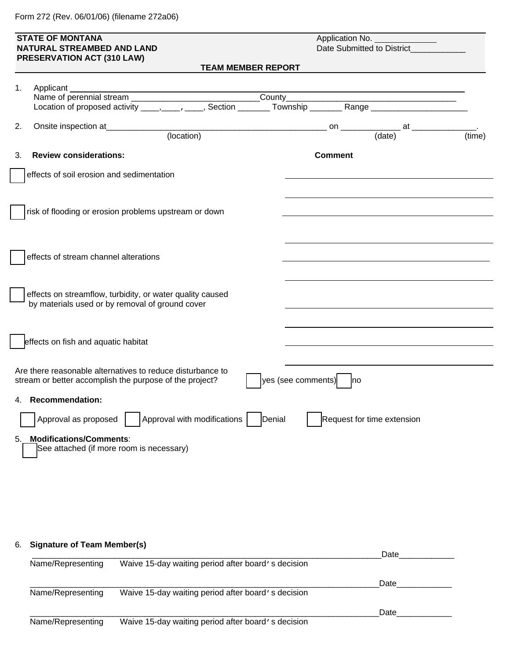## **STATE OF MONTANA**<br> **NATURAL STREAMBED AND LAND**<br> **Application No.** <u>Date Submitted to District</u> **NATURAL STREAMBED AND LAND PRESERVATION ACT (310 LAW)**

**TEAM MEMBER REPORT**

| Applicant<br>1.                                                         |                    |                |                            |        |
|-------------------------------------------------------------------------|--------------------|----------------|----------------------------|--------|
|                                                                         |                    |                |                            |        |
|                                                                         |                    |                |                            |        |
| Onsite inspection at_<br>2.                                             |                    |                |                            |        |
| (location)                                                              |                    |                | (date)                     | (time) |
|                                                                         |                    |                |                            |        |
| <b>Review considerations:</b><br>3.                                     |                    | <b>Comment</b> |                            |        |
| effects of soil erosion and sedimentation                               |                    |                |                            |        |
|                                                                         |                    |                |                            |        |
|                                                                         |                    |                |                            |        |
| risk of flooding or erosion problems upstream or down                   |                    |                |                            |        |
|                                                                         |                    |                |                            |        |
|                                                                         |                    |                |                            |        |
|                                                                         |                    |                |                            |        |
| effects of stream channel alterations                                   |                    |                |                            |        |
|                                                                         |                    |                |                            |        |
|                                                                         |                    |                |                            |        |
| effects on streamflow, turbidity, or water quality caused               |                    |                |                            |        |
| by materials used or by removal of ground cover                         |                    |                |                            |        |
|                                                                         |                    |                |                            |        |
|                                                                         |                    |                |                            |        |
| effects on fish and aquatic habitat                                     |                    |                |                            |        |
|                                                                         |                    |                |                            |        |
| Are there reasonable alternatives to reduce disturbance to              |                    |                |                            |        |
| stream or better accomplish the purpose of the project?                 | yes (see comments) | <b>I</b> no    |                            |        |
|                                                                         |                    |                |                            |        |
| <b>Recommendation:</b><br>4.                                            |                    |                |                            |        |
| Approval with modifications<br>Approval as proposed                     | Denial             |                | Request for time extension |        |
|                                                                         |                    |                |                            |        |
| <b>Modifications/Comments:</b><br>5.                                    |                    |                |                            |        |
| See attached (if more room is necessary)                                |                    |                |                            |        |
|                                                                         |                    |                |                            |        |
|                                                                         |                    |                |                            |        |
|                                                                         |                    |                |                            |        |
|                                                                         |                    |                |                            |        |
|                                                                         |                    |                |                            |        |
|                                                                         |                    |                |                            |        |
|                                                                         |                    |                |                            |        |
| <b>Signature of Team Member(s)</b><br>6.                                |                    |                |                            |        |
| Name/Representing<br>Waive 15-day waiting period after board's decision |                    |                | Date                       |        |
|                                                                         |                    |                |                            |        |
|                                                                         |                    |                | Date_                      |        |
| Name/Representing<br>Waive 15-day waiting period after board's decision |                    |                |                            |        |